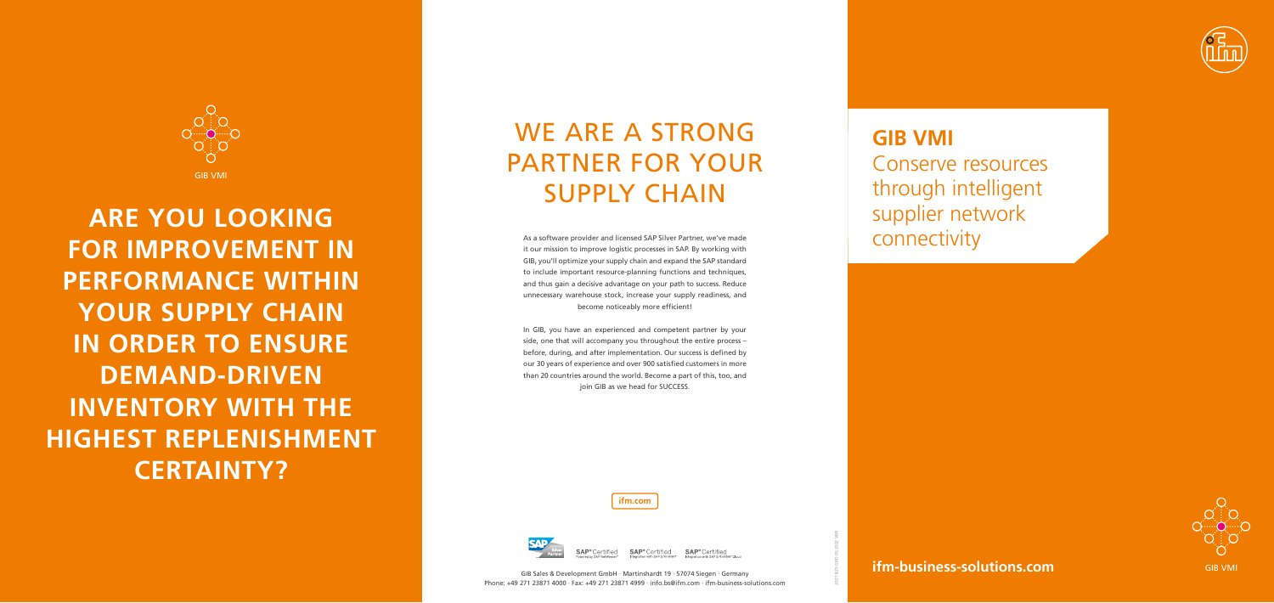#### **ifm-business-solutions.com**

**ifm.com**



**SAP**®Certified

GIB VMI

As a software provider and licensed SAP Silver Partner, we've made it our mission to improve logistic processes in SAP. By working with GIB, you'll optimize your supply chain and expand the SAP standard to include important resource-planning functions and techniques, and thus gain a decisive advantage on your path to success. Reduce unnecessary warehouse stock, increase your supply readiness, and become noticeably more efficient!

In GIB, you have an experienced and competent partner by your side, one that will accompany you throughout the entire process – before, during, and after implementation. Our success is defined by our 30 years of experience and over 900 satisfied customers in more than 20 countries around the world. Become a part of this, too, and join GIB as we head for SUCCESS.

# WE ARE A STRONG PARTNER FOR YOUR SUPPLY CHAIN



**ARE YOU LOOKING FOR IMPROVEMENT IN PERFORMANCE WITHIN YOUR SUPPLY CHAIN IN ORDER TO ENSURE DEMAND-DRIVEN INVENTORY WITH THE HIGHEST REPLENISHMENT CERTAINTY?** 





Conserve resources through intelligent supplier network connectivity



SAP<sup>®</sup>Certified SAP<sup>®</sup>Certified